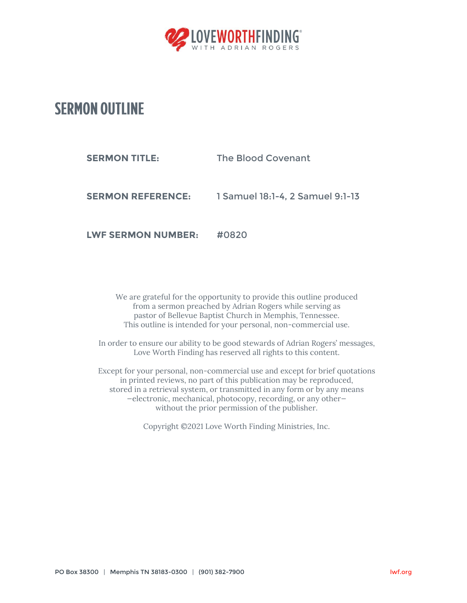

## **SERMON OUTLINE**

| <b>SERMON TITLE:</b>     | The Blood Covenant               |
|--------------------------|----------------------------------|
| <b>SERMON REFERENCE:</b> | 1 Samuel 18:1-4, 2 Samuel 9:1-13 |
|                          |                                  |

**LWF SERMON NUMBER:** #0820

We are grateful for the opportunity to provide this outline produced from a sermon preached by Adrian Rogers while serving as pastor of Bellevue Baptist Church in Memphis, Tennessee. This outline is intended for your personal, non-commercial use.

In order to ensure our ability to be good stewards of Adrian Rogers' messages, Love Worth Finding has reserved all rights to this content.

Except for your personal, non-commercial use and except for brief quotations in printed reviews, no part of this publication may be reproduced, stored in a retrieval system, or transmitted in any form or by any means —electronic, mechanical, photocopy, recording, or any other without the prior permission of the publisher.

Copyright ©2021 Love Worth Finding Ministries, Inc.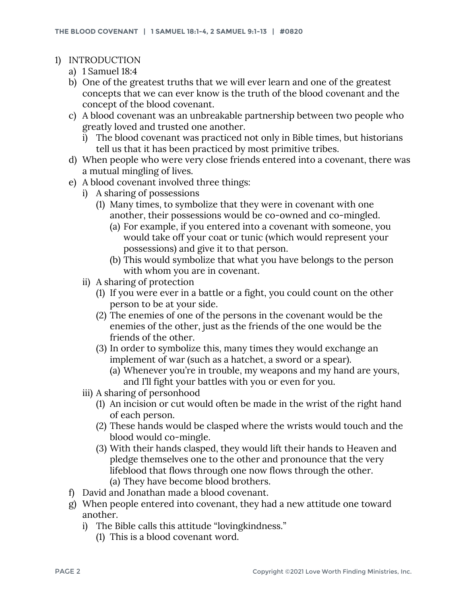- 1) INTRODUCTION
	- a) 1 Samuel 18:4
	- b) One of the greatest truths that we will ever learn and one of the greatest concepts that we can ever know is the truth of the blood covenant and the concept of the blood covenant.
	- c) A blood covenant was an unbreakable partnership between two people who greatly loved and trusted one another.
		- i) The blood covenant was practiced not only in Bible times, but historians tell us that it has been practiced by most primitive tribes.
	- d) When people who were very close friends entered into a covenant, there was a mutual mingling of lives.
	- e) A blood covenant involved three things:
		- i) A sharing of possessions
			- (1) Many times, to symbolize that they were in covenant with one another, their possessions would be co-owned and co-mingled.
				- (a) For example, if you entered into a covenant with someone, you would take off your coat or tunic (which would represent your possessions) and give it to that person.
				- (b) This would symbolize that what you have belongs to the person with whom you are in covenant.
		- ii) A sharing of protection
			- (1) If you were ever in a battle or a fight, you could count on the other person to be at your side.
			- (2) The enemies of one of the persons in the covenant would be the enemies of the other, just as the friends of the one would be the friends of the other.
			- (3) In order to symbolize this, many times they would exchange an implement of war (such as a hatchet, a sword or a spear).
				- (a) Whenever you're in trouble, my weapons and my hand are yours, and I'll fight your battles with you or even for you.
		- iii) A sharing of personhood
			- (1) An incision or cut would often be made in the wrist of the right hand of each person.
			- (2) These hands would be clasped where the wrists would touch and the blood would co-mingle.
			- (3) With their hands clasped, they would lift their hands to Heaven and pledge themselves one to the other and pronounce that the very lifeblood that flows through one now flows through the other. (a) They have become blood brothers.
	- f) David and Jonathan made a blood covenant.
	- g) When people entered into covenant, they had a new attitude one toward another.
		- i) The Bible calls this attitude "lovingkindness."
			- (1) This is a blood covenant word.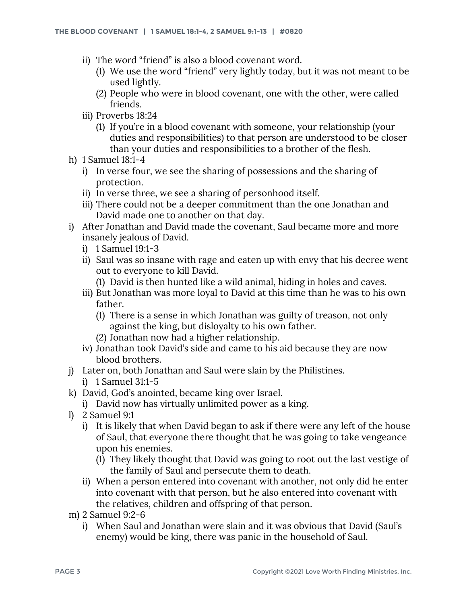- ii) The word "friend" is also a blood covenant word.
	- (1) We use the word "friend" very lightly today, but it was not meant to be used lightly.
	- (2) People who were in blood covenant, one with the other, were called friends.
- iii) Proverbs 18:24
	- (1) If you're in a blood covenant with someone, your relationship (your duties and responsibilities) to that person are understood to be closer than your duties and responsibilities to a brother of the flesh.
- h) 1 Samuel 18:1-4
	- i) In verse four, we see the sharing of possessions and the sharing of protection.
	- ii) In verse three, we see a sharing of personhood itself.
	- iii) There could not be a deeper commitment than the one Jonathan and David made one to another on that day.
- i) After Jonathan and David made the covenant, Saul became more and more insanely jealous of David.
	- i) 1 Samuel 19:1-3
	- ii) Saul was so insane with rage and eaten up with envy that his decree went out to everyone to kill David.
		- (1) David is then hunted like a wild animal, hiding in holes and caves.
	- iii) But Jonathan was more loyal to David at this time than he was to his own father.
		- (1) There is a sense in which Jonathan was guilty of treason, not only against the king, but disloyalty to his own father.
		- (2) Jonathan now had a higher relationship.
	- iv) Jonathan took David's side and came to his aid because they are now blood brothers.
- j) Later on, both Jonathan and Saul were slain by the Philistines.
	- i) 1 Samuel 31:1-5
- k) David, God's anointed, became king over Israel.
	- i) David now has virtually unlimited power as a king.
- l) 2 Samuel 9:1
	- i) It is likely that when David began to ask if there were any left of the house of Saul, that everyone there thought that he was going to take vengeance upon his enemies.
		- (1) They likely thought that David was going to root out the last vestige of the family of Saul and persecute them to death.
	- ii) When a person entered into covenant with another, not only did he enter into covenant with that person, but he also entered into covenant with the relatives, children and offspring of that person.
- m) 2 Samuel 9:2-6
	- i) When Saul and Jonathan were slain and it was obvious that David (Saul's enemy) would be king, there was panic in the household of Saul.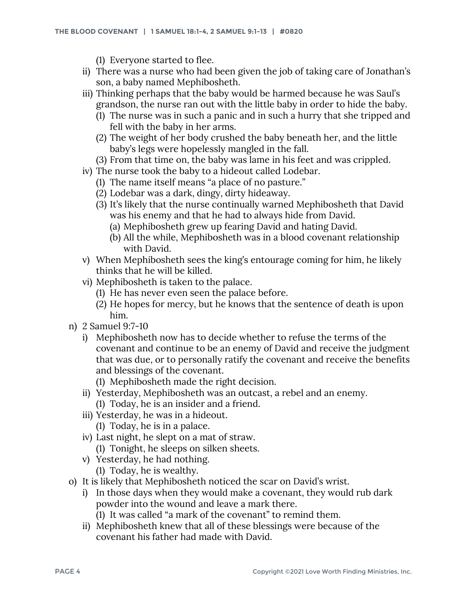(1) Everyone started to flee.

- ii) There was a nurse who had been given the job of taking care of Jonathan's son, a baby named Mephibosheth.
- iii) Thinking perhaps that the baby would be harmed because he was Saul's grandson, the nurse ran out with the little baby in order to hide the baby.
	- (1) The nurse was in such a panic and in such a hurry that she tripped and fell with the baby in her arms.
	- (2) The weight of her body crushed the baby beneath her, and the little baby's legs were hopelessly mangled in the fall.
	- (3) From that time on, the baby was lame in his feet and was crippled.
- iv) The nurse took the baby to a hideout called Lodebar.
	- (1) The name itself means "a place of no pasture."
	- (2) Lodebar was a dark, dingy, dirty hideaway.
	- (3) It's likely that the nurse continually warned Mephibosheth that David was his enemy and that he had to always hide from David.
		- (a) Mephibosheth grew up fearing David and hating David.
		- (b) All the while, Mephibosheth was in a blood covenant relationship with David.
- v) When Mephibosheth sees the king's entourage coming for him, he likely thinks that he will be killed.
- vi) Mephibosheth is taken to the palace.
	- (1) He has never even seen the palace before.
	- (2) He hopes for mercy, but he knows that the sentence of death is upon him.
- n) 2 Samuel 9:7-10
	- i) Mephibosheth now has to decide whether to refuse the terms of the covenant and continue to be an enemy of David and receive the judgment that was due, or to personally ratify the covenant and receive the benefits and blessings of the covenant.
		- (1) Mephibosheth made the right decision.
	- ii) Yesterday, Mephibosheth was an outcast, a rebel and an enemy. (1) Today, he is an insider and a friend.
	- iii) Yesterday, he was in a hideout. (1) Today, he is in a palace.
	- iv) Last night, he slept on a mat of straw.
		- (1) Tonight, he sleeps on silken sheets.
	- v) Yesterday, he had nothing.
		- (1) Today, he is wealthy.
- o) It is likely that Mephibosheth noticed the scar on David's wrist.
	- i) In those days when they would make a covenant, they would rub dark powder into the wound and leave a mark there.
		- (1) It was called "a mark of the covenant" to remind them.
	- ii) Mephibosheth knew that all of these blessings were because of the covenant his father had made with David.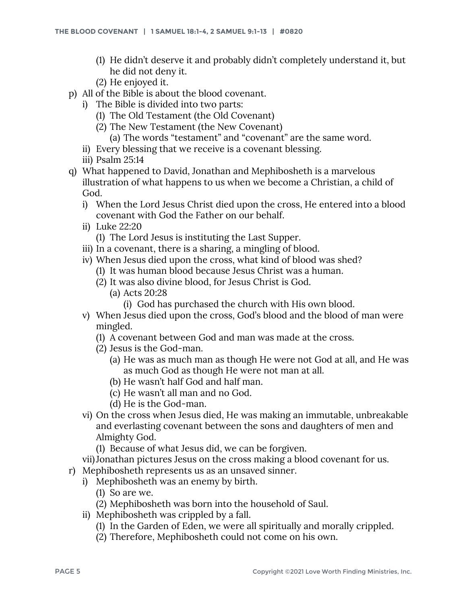- (1) He didn't deserve it and probably didn't completely understand it, but he did not deny it.
- (2) He enjoyed it.
- p) All of the Bible is about the blood covenant.
	- i) The Bible is divided into two parts:
		- (1) The Old Testament (the Old Covenant)
		- (2) The New Testament (the New Covenant)
			- (a) The words "testament" and "covenant" are the same word.
	- ii) Every blessing that we receive is a covenant blessing.
	- iii) Psalm 25:14
- q) What happened to David, Jonathan and Mephibosheth is a marvelous illustration of what happens to us when we become a Christian, a child of God.
	- i) When the Lord Jesus Christ died upon the cross, He entered into a blood covenant with God the Father on our behalf.
	- ii) Luke 22:20
		- (1) The Lord Jesus is instituting the Last Supper.
	- iii) In a covenant, there is a sharing, a mingling of blood.
	- iv) When Jesus died upon the cross, what kind of blood was shed?
		- (1) It was human blood because Jesus Christ was a human.
		- (2) It was also divine blood, for Jesus Christ is God.
			- (a) Acts 20:28
				- (i) God has purchased the church with His own blood.
	- v) When Jesus died upon the cross, God's blood and the blood of man were mingled.
		- (1) A covenant between God and man was made at the cross.
		- (2) Jesus is the God-man.
			- (a) He was as much man as though He were not God at all, and He was as much God as though He were not man at all.
			- (b) He wasn't half God and half man.
			- (c) He wasn't all man and no God.
			- (d) He is the God-man.
	- vi) On the cross when Jesus died, He was making an immutable, unbreakable and everlasting covenant between the sons and daughters of men and Almighty God.
		- (1) Because of what Jesus did, we can be forgiven.
	- vii)Jonathan pictures Jesus on the cross making a blood covenant for us.
- r) Mephibosheth represents us as an unsaved sinner.
	- i) Mephibosheth was an enemy by birth.
		- (1) So are we.
		- (2) Mephibosheth was born into the household of Saul.
	- ii) Mephibosheth was crippled by a fall.
		- (1) In the Garden of Eden, we were all spiritually and morally crippled.
		- (2) Therefore, Mephibosheth could not come on his own.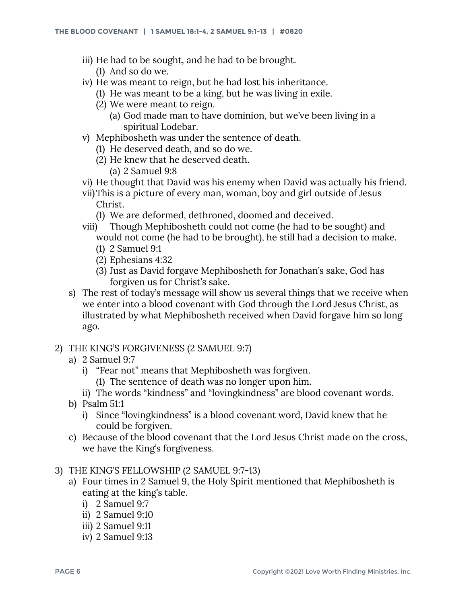- iii) He had to be sought, and he had to be brought.
	- (1) And so do we.
- iv) He was meant to reign, but he had lost his inheritance.
	- (1) He was meant to be a king, but he was living in exile.
	- (2) We were meant to reign.
		- (a) God made man to have dominion, but we've been living in a spiritual Lodebar.
- v) Mephibosheth was under the sentence of death.
	- (1) He deserved death, and so do we.
	- (2) He knew that he deserved death.
		- (a) 2 Samuel 9:8
- vi) He thought that David was his enemy when David was actually his friend.
- vii)This is a picture of every man, woman, boy and girl outside of Jesus Christ.
	- (1) We are deformed, dethroned, doomed and deceived.
- viii) Though Mephibosheth could not come (he had to be sought) and would not come (he had to be brought), he still had a decision to make. (1) 2 Samuel 9:1
	- (2) Ephesians 4:32
	- (3) Just as David forgave Mephibosheth for Jonathan's sake, God has forgiven us for Christ's sake.
- s) The rest of today's message will show us several things that we receive when we enter into a blood covenant with God through the Lord Jesus Christ, as illustrated by what Mephibosheth received when David forgave him so long ago.
- 2) THE KING'S FORGIVENESS (2 SAMUEL 9:7)
	- a) 2 Samuel 9:7
		- i) "Fear not" means that Mephibosheth was forgiven.
			- (1) The sentence of death was no longer upon him.
		- ii) The words "kindness" and "lovingkindness" are blood covenant words.
	- b) Psalm 51:1
		- i) Since "lovingkindness" is a blood covenant word, David knew that he could be forgiven.
	- c) Because of the blood covenant that the Lord Jesus Christ made on the cross, we have the King's forgiveness.
- 3) THE KING'S FELLOWSHIP (2 SAMUEL 9:7-13)
	- a) Four times in 2 Samuel 9, the Holy Spirit mentioned that Mephibosheth is eating at the king's table.
		- i) 2 Samuel 9:7
		- ii) 2 Samuel 9:10
		- iii) 2 Samuel 9:11
		- iv) 2 Samuel 9:13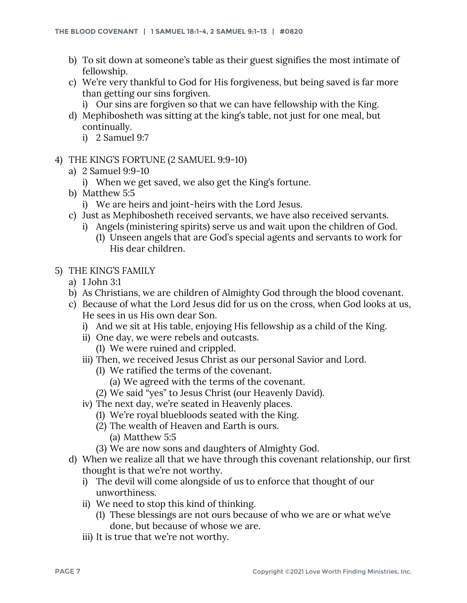- b) To sit down at someone's table as their guest signifies the most intimate of fellowship.
- c) We're very thankful to God for His forgiveness, but being saved is far more than getting our sins forgiven.
	- i) Our sins are forgiven so that we can have fellowship with the King.
- d) Mephibosheth was sitting at the king's table, not just for one meal, but continually.
	- i) 2 Samuel 9:7
- 4) THE KING'S FORTUNE (2 SAMUEL 9:9-10)
	- a) 2 Samuel 9:9-10
		- i) When we get saved, we also get the King's fortune.
	- b) Matthew 5:5
		- i) We are heirs and joint-heirs with the Lord Jesus.
	- c) Just as Mephibosheth received servants, we have also received servants.
		- i) Angels (ministering spirits) serve us and wait upon the children of God.
			- (1) Unseen angels that are God's special agents and servants to work for His dear children.
- 5) THE KING'S FAMILY
	- a) 1 John 3:1
	- b) As Christians, we are children of Almighty God through the blood covenant.
	- c) Because of what the Lord Jesus did for us on the cross, when God looks at us, He sees in us His own dear Son.
		- i) And we sit at His table, enjoying His fellowship as a child of the King.
		- ii) One day, we were rebels and outcasts.
			- (1) We were ruined and crippled.
		- iii) Then, we received Jesus Christ as our personal Savior and Lord.
			- (1) We ratified the terms of the covenant.
				- (a) We agreed with the terms of the covenant.
			- (2) We said "yes" to Jesus Christ (our Heavenly David).
		- iv) The next day, we're seated in Heavenly places.
			- (1) We're royal bluebloods seated with the King.
			- (2) The wealth of Heaven and Earth is ours.
				- (a) Matthew 5:5
			- (3) We are now sons and daughters of Almighty God.
	- d) When we realize all that we have through this covenant relationship, our first thought is that we're not worthy.
		- i) The devil will come alongside of us to enforce that thought of our unworthiness.
		- ii) We need to stop this kind of thinking.
			- (1) These blessings are not ours because of who we are or what we've done, but because of whose we are.
		- iii) It is true that we're not worthy.